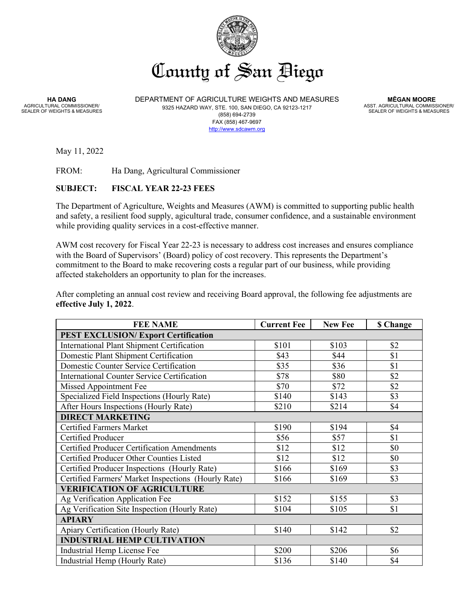

**HA DANG** AGRICULTURAL COMMISSIONER/ SEALER OF WEIGHTS & MEASURES DEPARTMENT OF AGRICULTURE WEIGHTS AND MEASURES 9325 HAZARD WAY, STE. 100, SAN DIEGO, CA 92123-1217 (858) 694-2739 FAX (858) 467-9697 [http://www.sdcawm.org](http://www.sdcawm.org/)

 **MĒGAN MOORE** ASST. AGRICULTURAL COMMISSIONER/ SEALER OF WEIGHTS & MEASURES

May 11, 2022

FROM: Ha Dang, Agricultural Commissioner

## **SUBJECT: FISCAL YEAR 22-23 FEES**

The Department of Agriculture, Weights and Measures (AWM) is committed to supporting public health and safety, a resilient food supply, agicultural trade, consumer confidence, and a sustainable environment while providing quality services in a cost-effective manner.

AWM cost recovery for Fiscal Year 22-23 is necessary to address cost increases and ensures compliance with the Board of Supervisors' (Board) policy of cost recovery. This represents the Department's commitment to the Board to make recovering costs a regular part of our business, while providing affected stakeholders an opportunity to plan for the increases.

After completing an annual cost review and receiving Board approval, the following fee adjustments are **effective July 1, 2022**.

| <b>FEE NAME</b>                                     | <b>Current Fee</b> | <b>New Fee</b> | <b>\$ Change</b> |
|-----------------------------------------------------|--------------------|----------------|------------------|
| <b>PEST EXCLUSION/ Export Certification</b>         |                    |                |                  |
| <b>International Plant Shipment Certification</b>   | \$101              | \$103          | \$2              |
| Domestic Plant Shipment Certification               | \$43               | \$44           | \$1              |
| Domestic Counter Service Certification              | \$35               | \$36           | \$1              |
| <b>International Counter Service Certification</b>  | \$78               | \$80           | \$2              |
| Missed Appointment Fee                              | \$70               | \$72           | \$2              |
| Specialized Field Inspections (Hourly Rate)         | \$140              | \$143          | \$3              |
| After Hours Inspections (Hourly Rate)               | \$210              | \$214          | \$4              |
| <b>DIRECT MARKETING</b>                             |                    |                |                  |
| <b>Certified Farmers Market</b>                     | \$190              | \$194          | \$4              |
| Certified Producer                                  | \$56               | \$57           | \$1              |
| <b>Certified Producer Certification Amendments</b>  | \$12               | \$12           | \$0              |
| Certified Producer Other Counties Listed            | \$12               | \$12           | \$0              |
| Certified Producer Inspections (Hourly Rate)        | \$166              | \$169          | \$3              |
| Certified Farmers' Market Inspections (Hourly Rate) | \$166              | \$169          | \$3              |
| <b>VERIFICATION OF AGRICULTURE</b>                  |                    |                |                  |
| Ag Verification Application Fee                     | \$152              | \$155          | \$3              |
| Ag Verification Site Inspection (Hourly Rate)       | \$104              | \$105          | \$1              |
| <b>APIARY</b>                                       |                    |                |                  |
| Apiary Certification (Hourly Rate)                  | \$140              | \$142          | \$2              |
| <b>INDUSTRIAL HEMP CULTIVATION</b>                  |                    |                |                  |
| Industrial Hemp License Fee                         | \$200              | \$206          | \$6              |
| Industrial Hemp (Hourly Rate)                       | \$136              | \$140          | \$4              |